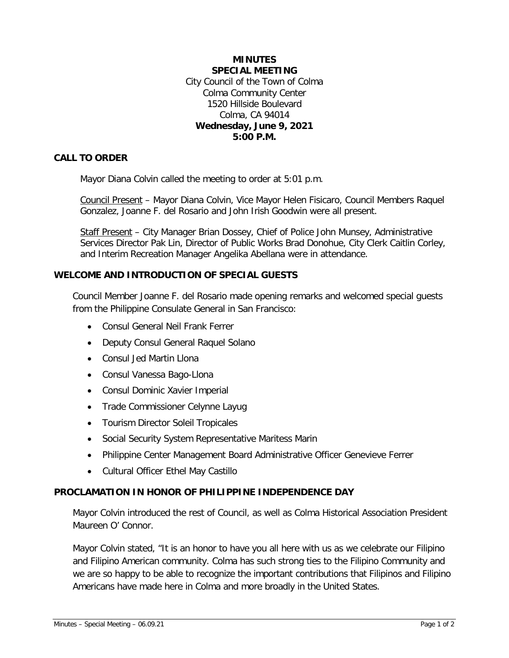### **MINUTES SPECIAL MEETING** City Council of the Town of Colma Colma Community Center 1520 Hillside Boulevard Colma, CA 94014 **Wednesday, June 9, 2021 5:00 P.M.**

## **CALL TO ORDER**

Mayor Diana Colvin called the meeting to order at 5:01 p.m.

Council Present – Mayor Diana Colvin, Vice Mayor Helen Fisicaro, Council Members Raquel Gonzalez, Joanne F. del Rosario and John Irish Goodwin were all present.

Staff Present - City Manager Brian Dossey, Chief of Police John Munsey, Administrative Services Director Pak Lin, Director of Public Works Brad Donohue, City Clerk Caitlin Corley, and Interim Recreation Manager Angelika Abellana were in attendance.

### **WELCOME AND INTRODUCTION OF SPECIAL GUESTS**

Council Member Joanne F. del Rosario made opening remarks and welcomed special guests from the Philippine Consulate General in San Francisco:

- Consul General Neil Frank Ferrer
- Deputy Consul General Raquel Solano
- Consul Jed Martin Llona
- Consul Vanessa Bago-Llona
- Consul Dominic Xavier Imperial
- Trade Commissioner Celynne Layug
- Tourism Director Soleil Tropicales
- Social Security System Representative Maritess Marin
- Philippine Center Management Board Administrative Officer Genevieve Ferrer
- Cultural Officer Ethel May Castillo

#### **PROCLAMATION IN HONOR OF PHILIPPINE INDEPENDENCE DAY**

Mayor Colvin introduced the rest of Council, as well as Colma Historical Association President Maureen O' Connor.

Mayor Colvin stated, "It is an honor to have you all here with us as we celebrate our Filipino and Filipino American community. Colma has such strong ties to the Filipino Community and we are so happy to be able to recognize the important contributions that Filipinos and Filipino Americans have made here in Colma and more broadly in the United States.